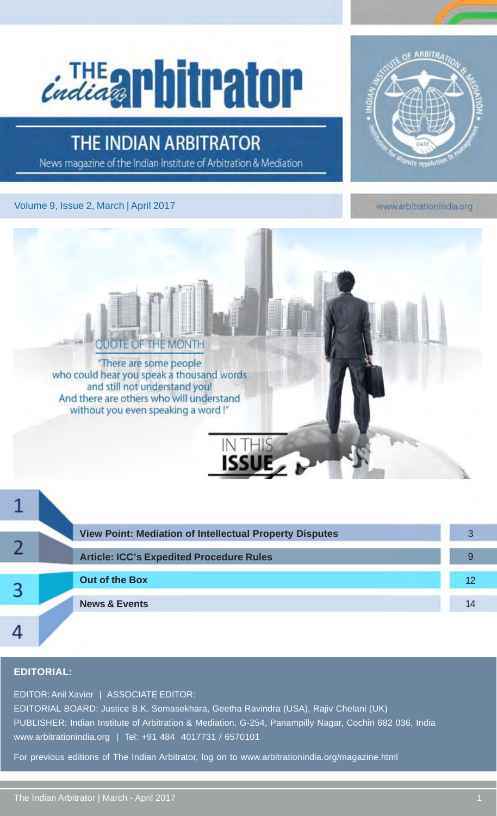# *Endings Phitpator*

### **THE INDIAN ARBITRATOR**

News magazine of the Indian Institute of Arbitration & Mediation

#### Volume 9, Issue 2, March | April 2017



www.arbitrationindia.org



|  | <b>View Point: Mediation of Intellectual Property Disputes</b> |    |
|--|----------------------------------------------------------------|----|
|  | <b>Article: ICC's Expedited Procedure Rules</b>                |    |
|  | <b>Out of the Box</b>                                          | 12 |
|  | <b>News &amp; Events</b>                                       | 14 |
|  |                                                                |    |

#### **EDITORIAL:**

EDITOR: Anil Xavier | ASSOCIATE EDITOR:

EDITORIAL BOARD: Justice B.K. Somasekhara, Geetha Ravindra (USA), Rajiv Chelani (UK) PUBLISHER: Indian Institute of Arbitration & Mediation, G-254, Panampilly Nagar, Cochin 682 036, India www.arbitrationindia.org | Tel: +91 484 4017731 / 6570101

For previous editions of The Indian Arbitrator, log on to www.arbitrationindia.org/magazine.html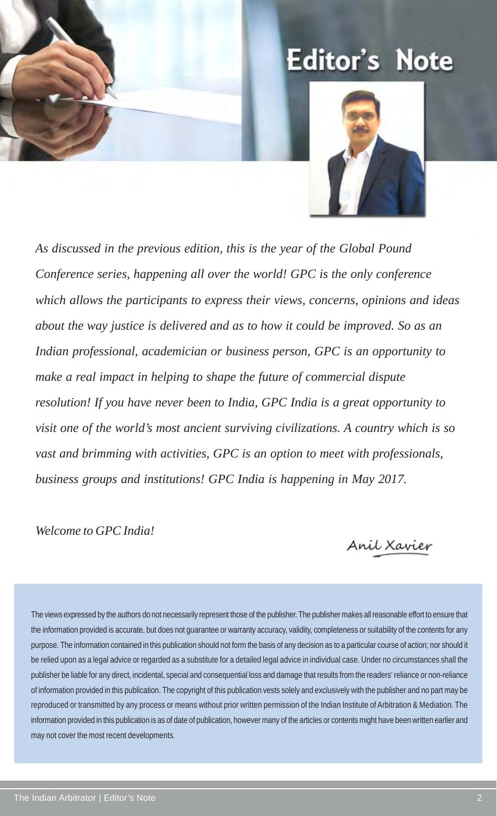### **Editor's Note**



*As discussed in the previous edition, this is the year of the Global Pound Conference series, happening all over the world! GPC is the only conference which allows the participants to express their views, concerns, opinions and ideas about the way justice is delivered and as to how it could be improved. So as an Indian professional, academician or business person, GPC is an opportunity to make a real impact in helping to shape the future of commercial dispute resolution! If you have never been to India, GPC India is a great opportunity to visit one of the world's most ancient surviving civilizations. A country which is so vast and brimming with activities, GPC is an option to meet with professionals, business groups and institutions! GPC India is happening in May 2017.*

*Welcome to GPC India!*

Anil Xavier

The views expressed by the authors do not necessarily represent those of the publisher. The publisher makes all reasonable effort to ensure that the information provided is accurate, but does not guarantee or warranty accuracy, validity, completeness or suitability of the contents for any purpose. The information contained in this publication should not form the basis of any decision as to a particular course of action; nor should it be relied upon as a legal advice or regarded as a substitute for a detailed legal advice in individual case. Under no circumstances shall the publisher be liable for any direct, incidental, special and consequential loss and damage that results from the readers' reliance or non-reliance of information provided in this publication. The copyright of this publication vests solely and exclusively with the publisher and no part may be reproduced or transmitted by any process or means without prior written permission of the Indian Institute of Arbitration & Mediation. The information provided in this publication is as of date of publication, however many of the articles or contents might have been written earlier and may not cover the most recent developments.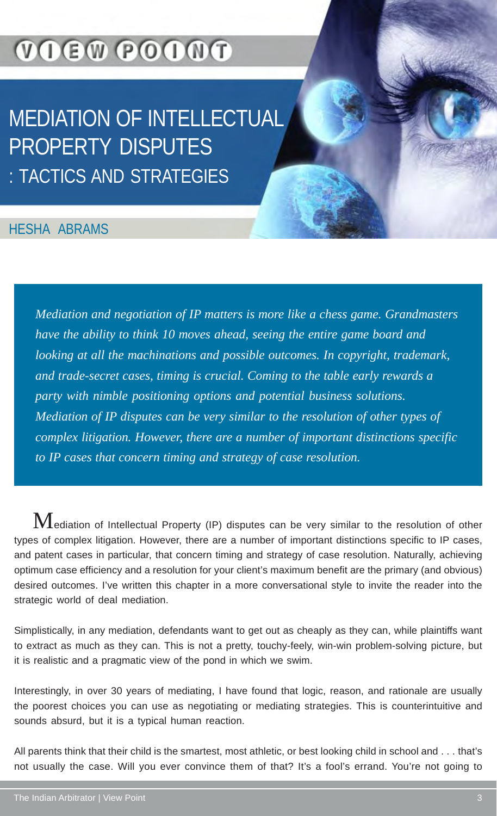### **VOEW POONT**

### MEDIATION OF INTELLECTUAL PROPERTY DISPUTES : TACTICS AND STRATEGIES

### HESHA ABRAMS

*Mediation and negotiation of IP matters is more like a chess game. Grandmasters have the ability to think 10 moves ahead, seeing the entire game board and looking at all the machinations and possible outcomes. In copyright, trademark, and trade-secret cases, timing is crucial. Coming to the table early rewards a party with nimble positioning options and potential business solutions. Mediation of IP disputes can be very similar to the resolution of other types of complex litigation. However, there are a number of important distinctions specific to IP cases that concern timing and strategy of case resolution.*

 $\bf M$ ediation of Intellectual Property (IP) disputes can be very similar to the resolution of other types of complex litigation. However, there are a number of important distinctions specific to IP cases, and patent cases in particular, that concern timing and strategy of case resolution. Naturally, achieving optimum case efficiency and a resolution for your client's maximum benefit are the primary (and obvious) desired outcomes. I've written this chapter in a more conversational style to invite the reader into the strategic world of deal mediation.

Simplistically, in any mediation, defendants want to get out as cheaply as they can, while plaintiffs want to extract as much as they can. This is not a pretty, touchy-feely, win-win problem-solving picture, but it is realistic and a pragmatic view of the pond in which we swim.

Interestingly, in over 30 years of mediating, I have found that logic, reason, and rationale are usually the poorest choices you can use as negotiating or mediating strategies. This is counterintuitive and sounds absurd, but it is a typical human reaction.

All parents think that their child is the smartest, most athletic, or best looking child in school and . . . that's not usually the case. Will you ever convince them of that? It's a fool's errand. You're not going to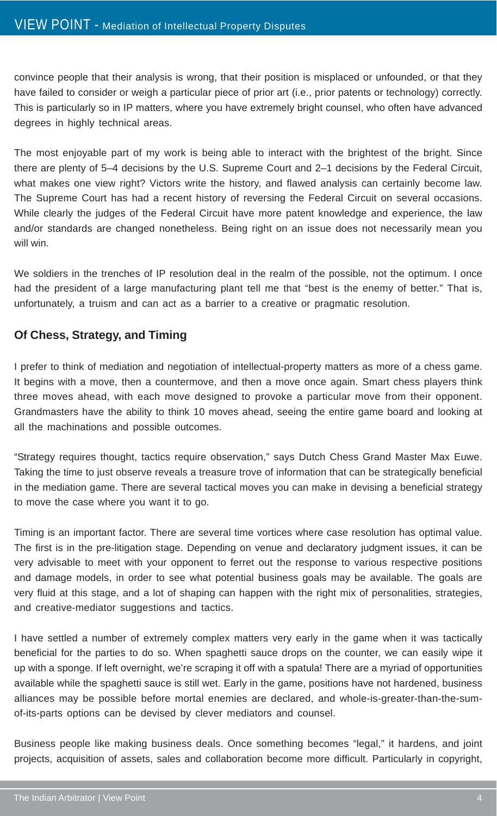convince people that their analysis is wrong, that their position is misplaced or unfounded, or that they have failed to consider or weigh a particular piece of prior art (i.e., prior patents or technology) correctly. This is particularly so in IP matters, where you have extremely bright counsel, who often have advanced degrees in highly technical areas.

The most enjoyable part of my work is being able to interact with the brightest of the bright. Since there are plenty of 5–4 decisions by the U.S. Supreme Court and 2–1 decisions by the Federal Circuit, what makes one view right? Victors write the history, and flawed analysis can certainly become law. The Supreme Court has had a recent history of reversing the Federal Circuit on several occasions. While clearly the judges of the Federal Circuit have more patent knowledge and experience, the law and/or standards are changed nonetheless. Being right on an issue does not necessarily mean you will win.

We soldiers in the trenches of IP resolution deal in the realm of the possible, not the optimum. I once had the president of a large manufacturing plant tell me that "best is the enemy of better." That is, unfortunately, a truism and can act as a barrier to a creative or pragmatic resolution.

#### **Of Chess, Strategy, and Timing**

I prefer to think of mediation and negotiation of intellectual-property matters as more of a chess game. It begins with a move, then a countermove, and then a move once again. Smart chess players think three moves ahead, with each move designed to provoke a particular move from their opponent. Grandmasters have the ability to think 10 moves ahead, seeing the entire game board and looking at all the machinations and possible outcomes.

"Strategy requires thought, tactics require observation," says Dutch Chess Grand Master Max Euwe. Taking the time to just observe reveals a treasure trove of information that can be strategically beneficial in the mediation game. There are several tactical moves you can make in devising a beneficial strategy to move the case where you want it to go.

Timing is an important factor. There are several time vortices where case resolution has optimal value. The first is in the pre-litigation stage. Depending on venue and declaratory judgment issues, it can be very advisable to meet with your opponent to ferret out the response to various respective positions and damage models, in order to see what potential business goals may be available. The goals are very fluid at this stage, and a lot of shaping can happen with the right mix of personalities, strategies, and creative-mediator suggestions and tactics.

I have settled a number of extremely complex matters very early in the game when it was tactically beneficial for the parties to do so. When spaghetti sauce drops on the counter, we can easily wipe it up with a sponge. If left overnight, we're scraping it off with a spatula! There are a myriad of opportunities available while the spaghetti sauce is still wet. Early in the game, positions have not hardened, business alliances may be possible before mortal enemies are declared, and whole-is-greater-than-the-sumof-its-parts options can be devised by clever mediators and counsel.

Business people like making business deals. Once something becomes "legal," it hardens, and joint projects, acquisition of assets, sales and collaboration become more difficult. Particularly in copyright,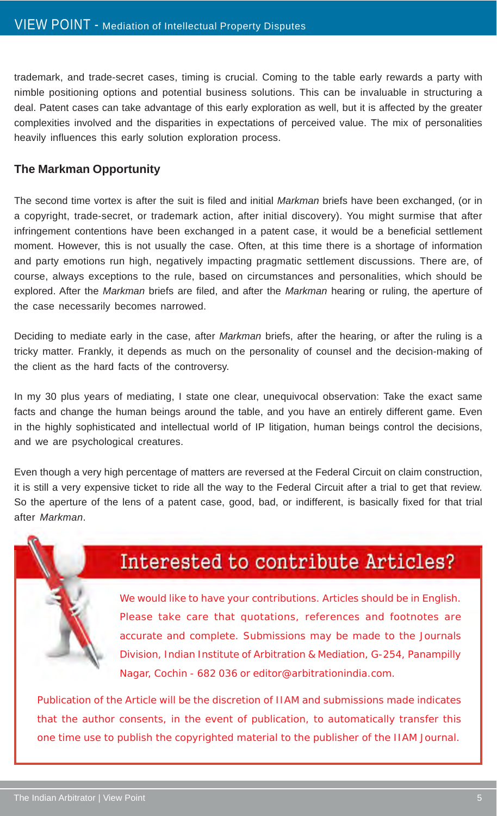trademark, and trade-secret cases, timing is crucial. Coming to the table early rewards a party with nimble positioning options and potential business solutions. This can be invaluable in structuring a deal. Patent cases can take advantage of this early exploration as well, but it is affected by the greater complexities involved and the disparities in expectations of perceived value. The mix of personalities heavily influences this early solution exploration process.

#### **The Markman Opportunity**

The second time vortex is after the suit is filed and initial *Markman* briefs have been exchanged, (or in a copyright, trade-secret, or trademark action, after initial discovery). You might surmise that after infringement contentions have been exchanged in a patent case, it would be a beneficial settlement moment. However, this is not usually the case. Often, at this time there is a shortage of information and party emotions run high, negatively impacting pragmatic settlement discussions. There are, of course, always exceptions to the rule, based on circumstances and personalities, which should be explored. After the *Markman* briefs are filed, and after the *Markman* hearing or ruling, the aperture of the case necessarily becomes narrowed.

Deciding to mediate early in the case, after *Markman* briefs, after the hearing, or after the ruling is a tricky matter. Frankly, it depends as much on the personality of counsel and the decision-making of the client as the hard facts of the controversy.

In my 30 plus years of mediating, I state one clear, unequivocal observation: Take the exact same facts and change the human beings around the table, and you have an entirely different game. Even in the highly sophisticated and intellectual world of IP litigation, human beings control the decisions, and we are psychological creatures.

Even though a very high percentage of matters are reversed at the Federal Circuit on claim construction, it is still a very expensive ticket to ride all the way to the Federal Circuit after a trial to get that review. So the aperture of the lens of a patent case, good, bad, or indifferent, is basically fixed for that trial after *Markman*.

### Interested to contribute Articles?

We would like to have your contributions. Articles should be in English. Please take care that quotations, references and footnotes are accurate and complete. Submissions may be made to the Journals Division, Indian Institute of Arbitration & Mediation, G-254, Panampilly Nagar, Cochin - 682 036 or editor@arbitrationindia.com.

Publication of the Article will be the discretion of IIAM and submissions made indicates that the author consents, in the event of publication, to automatically transfer this one time use to publish the copyrighted material to the publisher of the IIAM Journal.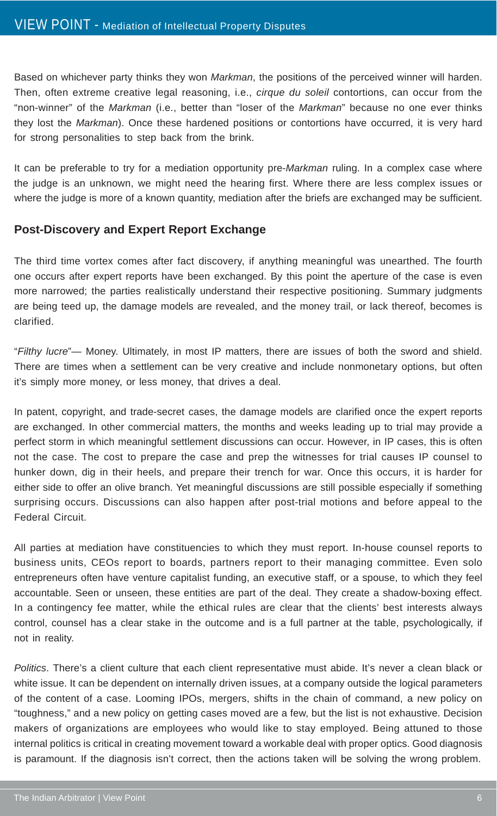Based on whichever party thinks they won *Markman*, the positions of the perceived winner will harden. Then, often extreme creative legal reasoning, i.e., *cirque du soleil* contortions, can occur from the "non-winner" of the *Markman* (i.e., better than "loser of the *Markman*" because no one ever thinks they lost the *Markman*). Once these hardened positions or contortions have occurred, it is very hard for strong personalities to step back from the brink.

It can be preferable to try for a mediation opportunity pre-*Markman* ruling. In a complex case where the judge is an unknown, we might need the hearing first. Where there are less complex issues or where the judge is more of a known quantity, mediation after the briefs are exchanged may be sufficient.

#### **Post-Discovery and Expert Report Exchange**

The third time vortex comes after fact discovery, if anything meaningful was unearthed. The fourth one occurs after expert reports have been exchanged. By this point the aperture of the case is even more narrowed; the parties realistically understand their respective positioning. Summary judgments are being teed up, the damage models are revealed, and the money trail, or lack thereof, becomes is clarified.

"*Filthy lucre*"— Money. Ultimately, in most IP matters, there are issues of both the sword and shield. There are times when a settlement can be very creative and include nonmonetary options, but often it's simply more money, or less money, that drives a deal.

In patent, copyright, and trade-secret cases, the damage models are clarified once the expert reports are exchanged. In other commercial matters, the months and weeks leading up to trial may provide a perfect storm in which meaningful settlement discussions can occur. However, in IP cases, this is often not the case. The cost to prepare the case and prep the witnesses for trial causes IP counsel to hunker down, dig in their heels, and prepare their trench for war. Once this occurs, it is harder for either side to offer an olive branch. Yet meaningful discussions are still possible especially if something surprising occurs. Discussions can also happen after post-trial motions and before appeal to the Federal Circuit.

All parties at mediation have constituencies to which they must report. In-house counsel reports to business units, CEOs report to boards, partners report to their managing committee. Even solo entrepreneurs often have venture capitalist funding, an executive staff, or a spouse, to which they feel accountable. Seen or unseen, these entities are part of the deal. They create a shadow-boxing effect. In a contingency fee matter, while the ethical rules are clear that the clients' best interests always control, counsel has a clear stake in the outcome and is a full partner at the table, psychologically, if not in reality.

*Politics*. There's a client culture that each client representative must abide. It's never a clean black or white issue. It can be dependent on internally driven issues, at a company outside the logical parameters of the content of a case. Looming IPOs, mergers, shifts in the chain of command, a new policy on "toughness," and a new policy on getting cases moved are a few, but the list is not exhaustive. Decision makers of organizations are employees who would like to stay employed. Being attuned to those internal politics is critical in creating movement toward a workable deal with proper optics. Good diagnosis is paramount. If the diagnosis isn't correct, then the actions taken will be solving the wrong problem.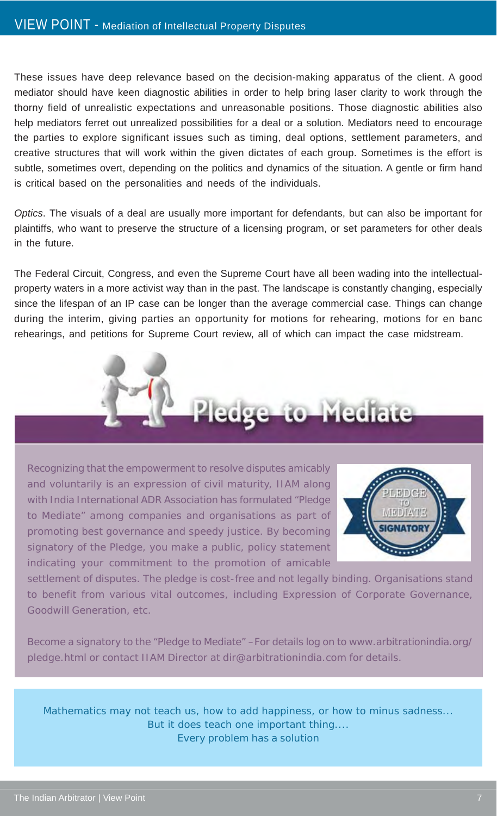These issues have deep relevance based on the decision-making apparatus of the client. A good mediator should have keen diagnostic abilities in order to help bring laser clarity to work through the thorny field of unrealistic expectations and unreasonable positions. Those diagnostic abilities also help mediators ferret out unrealized possibilities for a deal or a solution. Mediators need to encourage the parties to explore significant issues such as timing, deal options, settlement parameters, and creative structures that will work within the given dictates of each group. Sometimes is the effort is subtle, sometimes overt, depending on the politics and dynamics of the situation. A gentle or firm hand is critical based on the personalities and needs of the individuals.

*Optics*. The visuals of a deal are usually more important for defendants, but can also be important for plaintiffs, who want to preserve the structure of a licensing program, or set parameters for other deals in the future.

The Federal Circuit, Congress, and even the Supreme Court have all been wading into the intellectualproperty waters in a more activist way than in the past. The landscape is constantly changing, especially since the lifespan of an IP case can be longer than the average commercial case. Things can change during the interim, giving parties an opportunity for motions for rehearing, motions for en banc rehearings, and petitions for Supreme Court review, all of which can impact the case midstream.



Recognizing that the empowerment to resolve disputes amicably and voluntarily is an expression of civil maturity, IIAM along with India International ADR Association has formulated "Pledge to Mediate" among companies and organisations as part of promoting best governance and speedy justice. By becoming signatory of the Pledge, you make a public, policy statement indicating your commitment to the promotion of amicable



settlement of disputes. The pledge is cost-free and not legally binding. Organisations stand to benefit from various vital outcomes, including Expression of Corporate Governance, Goodwill Generation, etc.

Become a signatory to the "Pledge to Mediate" –For details log on to www.arbitrationindia.org/ pledge.html or contact IIAM Director at dir@arbitrationindia.com for details.

Mathematics may not teach us, how to add happiness, or how to minus sadness... But it does teach one important thing.... Every problem has a solution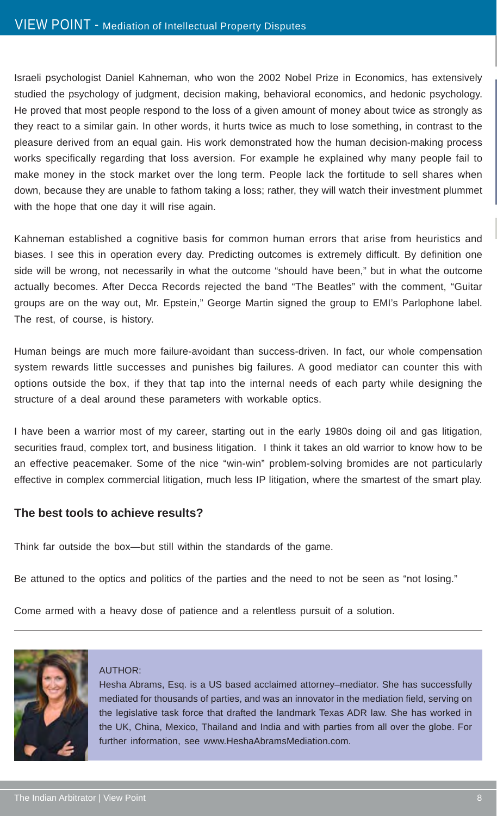Israeli psychologist Daniel Kahneman, who won the 2002 Nobel Prize in Economics, has extensively studied the psychology of judgment, decision making, behavioral economics, and hedonic psychology. He proved that most people respond to the loss of a given amount of money about twice as strongly as they react to a similar gain. In other words, it hurts twice as much to lose something, in contrast to the pleasure derived from an equal gain. His work demonstrated how the human decision-making process works specifically regarding that loss aversion. For example he explained why many people fail to make money in the stock market over the long term. People lack the fortitude to sell shares when down, because they are unable to fathom taking a loss; rather, they will watch their investment plummet with the hope that one day it will rise again.

Kahneman established a cognitive basis for common human errors that arise from heuristics and biases. I see this in operation every day. Predicting outcomes is extremely difficult. By definition one side will be wrong, not necessarily in what the outcome "should have been," but in what the outcome actually becomes. After Decca Records rejected the band "The Beatles" with the comment, "Guitar groups are on the way out, Mr. Epstein," George Martin signed the group to EMI's Parlophone label. The rest, of course, is history.

Human beings are much more failure-avoidant than success-driven. In fact, our whole compensation system rewards little successes and punishes big failures. A good mediator can counter this with options outside the box, if they that tap into the internal needs of each party while designing the structure of a deal around these parameters with workable optics.

I have been a warrior most of my career, starting out in the early 1980s doing oil and gas litigation, securities fraud, complex tort, and business litigation. I think it takes an old warrior to know how to be an effective peacemaker. Some of the nice "win-win" problem-solving bromides are not particularly effective in complex commercial litigation, much less IP litigation, where the smartest of the smart play.

#### **The best tools to achieve results?**

Think far outside the box—but still within the standards of the game.

Be attuned to the optics and politics of the parties and the need to not be seen as "not losing."

Come armed with a heavy dose of patience and a relentless pursuit of a solution.



#### AUTHOR:

Hesha Abrams, Esq. is a US based acclaimed attorney–mediator. She has successfully mediated for thousands of parties, and was an innovator in the mediation field, serving on the legislative task force that drafted the landmark Texas ADR law. She has worked in the UK, China, Mexico, Thailand and India and with parties from all over the globe. For further information, see www.HeshaAbramsMediation.com.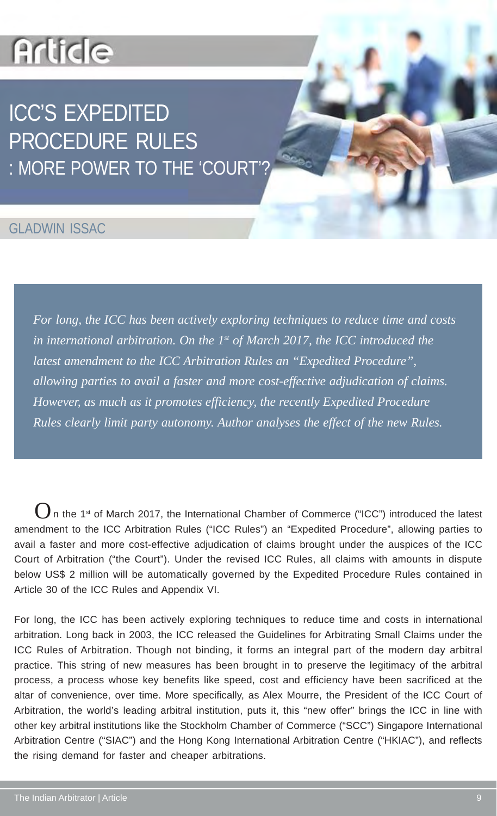### **Article**

### ICC'S EXPEDITED PROCEDURE RULES : MORE POWER TO THE 'COURT'?

### GLADWIN ISSAC

*For long, the ICC has been actively exploring techniques to reduce time and costs in international arbitration. On the 1st of March 2017, the ICC introduced the latest amendment to the ICC Arbitration Rules an "Expedited Procedure", allowing parties to avail a faster and more cost-effective adjudication of claims. However, as much as it promotes efficiency, the recently Expedited Procedure Rules clearly limit party autonomy. Author analyses the effect of the new Rules.*

 $\mathbf 0$ n the 1<sup>st</sup> of March 2017, the International Chamber of Commerce ("ICC") introduced the latest amendment to the ICC Arbitration Rules ("ICC Rules") an "Expedited Procedure", allowing parties to avail a faster and more cost-effective adjudication of claims brought under the auspices of the ICC Court of Arbitration ("the Court"). Under the revised ICC Rules, all claims with amounts in dispute below US\$ 2 million will be automatically governed by the Expedited Procedure Rules contained in Article 30 of the ICC Rules and Appendix VI.

For long, the ICC has been actively exploring techniques to reduce time and costs in international arbitration. Long back in 2003, the ICC released the Guidelines for Arbitrating Small Claims under the ICC Rules of Arbitration. Though not binding, it forms an integral part of the modern day arbitral practice. This string of new measures has been brought in to preserve the legitimacy of the arbitral process, a process whose key benefits like speed, cost and efficiency have been sacrificed at the altar of convenience, over time. More specifically, as Alex Mourre, the President of the ICC Court of Arbitration, the world's leading arbitral institution, puts it, this "new offer" brings the ICC in line with other key arbitral institutions like the Stockholm Chamber of Commerce ("SCC") Singapore International Arbitration Centre ("SIAC") and the Hong Kong International Arbitration Centre ("HKIAC"), and reflects the rising demand for faster and cheaper arbitrations.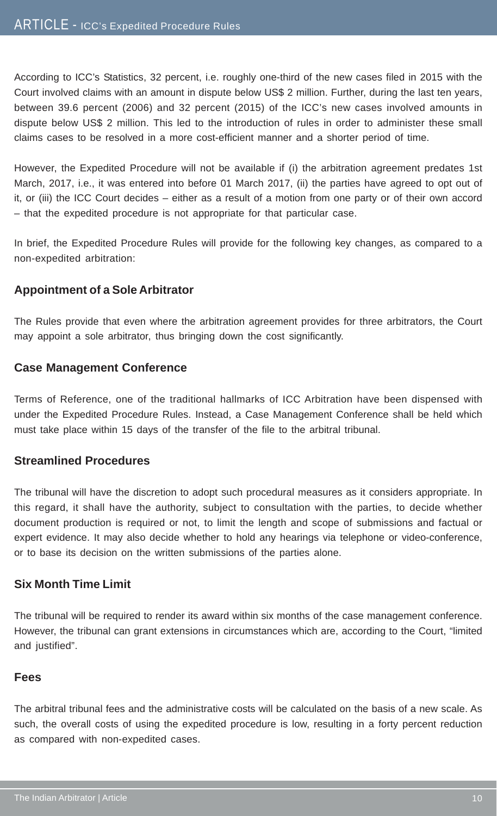According to ICC's Statistics, 32 percent, i.e. roughly one-third of the new cases filed in 2015 with the Court involved claims with an amount in dispute below US\$ 2 million. Further, during the last ten years, between 39.6 percent (2006) and 32 percent (2015) of the ICC's new cases involved amounts in dispute below US\$ 2 million. This led to the introduction of rules in order to administer these small claims cases to be resolved in a more cost-efficient manner and a shorter period of time.

However, the Expedited Procedure will not be available if (i) the arbitration agreement predates 1st March, 2017, i.e., it was entered into before 01 March 2017, (ii) the parties have agreed to opt out of it, or (iii) the ICC Court decides – either as a result of a motion from one party or of their own accord – that the expedited procedure is not appropriate for that particular case.

In brief, the Expedited Procedure Rules will provide for the following key changes, as compared to a non-expedited arbitration:

#### **Appointment of a Sole Arbitrator**

The Rules provide that even where the arbitration agreement provides for three arbitrators, the Court may appoint a sole arbitrator, thus bringing down the cost significantly.

#### **Case Management Conference**

Terms of Reference, one of the traditional hallmarks of ICC Arbitration have been dispensed with under the Expedited Procedure Rules. Instead, a Case Management Conference shall be held which must take place within 15 days of the transfer of the file to the arbitral tribunal.

#### **Streamlined Procedures**

The tribunal will have the discretion to adopt such procedural measures as it considers appropriate. In this regard, it shall have the authority, subject to consultation with the parties, to decide whether document production is required or not, to limit the length and scope of submissions and factual or expert evidence. It may also decide whether to hold any hearings via telephone or video-conference, or to base its decision on the written submissions of the parties alone.

#### **Six Month Time Limit**

The tribunal will be required to render its award within six months of the case management conference. However, the tribunal can grant extensions in circumstances which are, according to the Court, "limited and justified".

#### **Fees**

The arbitral tribunal fees and the administrative costs will be calculated on the basis of a new scale. As such, the overall costs of using the expedited procedure is low, resulting in a forty percent reduction as compared with non-expedited cases.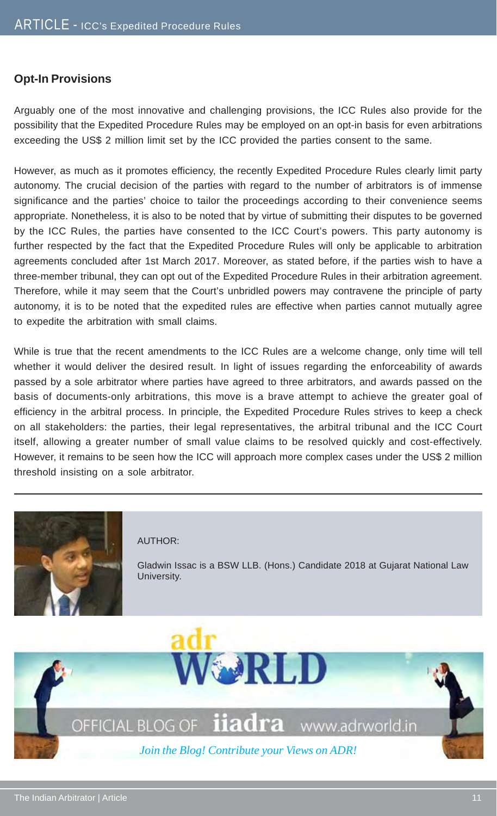#### **Opt-In Provisions**

Arguably one of the most innovative and challenging provisions, the ICC Rules also provide for the possibility that the Expedited Procedure Rules may be employed on an opt-in basis for even arbitrations exceeding the US\$ 2 million limit set by the ICC provided the parties consent to the same.

However, as much as it promotes efficiency, the recently Expedited Procedure Rules clearly limit party autonomy. The crucial decision of the parties with regard to the number of arbitrators is of immense significance and the parties' choice to tailor the proceedings according to their convenience seems appropriate. Nonetheless, it is also to be noted that by virtue of submitting their disputes to be governed by the ICC Rules, the parties have consented to the ICC Court's powers. This party autonomy is further respected by the fact that the Expedited Procedure Rules will only be applicable to arbitration agreements concluded after 1st March 2017. Moreover, as stated before, if the parties wish to have a three-member tribunal, they can opt out of the Expedited Procedure Rules in their arbitration agreement. Therefore, while it may seem that the Court's unbridled powers may contravene the principle of party autonomy, it is to be noted that the expedited rules are effective when parties cannot mutually agree to expedite the arbitration with small claims.

While is true that the recent amendments to the ICC Rules are a welcome change, only time will tell whether it would deliver the desired result. In light of issues regarding the enforceability of awards passed by a sole arbitrator where parties have agreed to three arbitrators, and awards passed on the basis of documents-only arbitrations, this move is a brave attempt to achieve the greater goal of efficiency in the arbitral process. In principle, the Expedited Procedure Rules strives to keep a check on all stakeholders: the parties, their legal representatives, the arbitral tribunal and the ICC Court itself, allowing a greater number of small value claims to be resolved quickly and cost-effectively. However, it remains to be seen how the ICC will approach more complex cases under the US\$ 2 million threshold insisting on a sole arbitrator.



#### AUTHOR:

Gladwin Issac is a BSW LLB. (Hons.) Candidate 2018 at Gujarat National Law University.

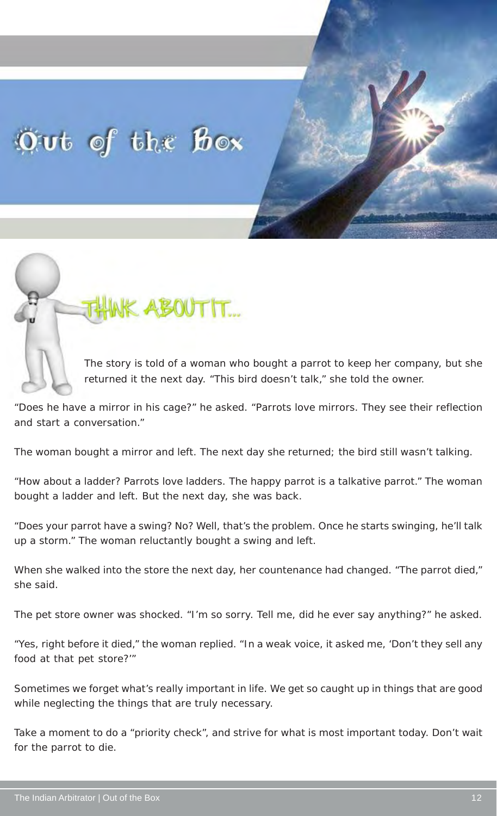### Out of the Box



The story is told of a woman who bought a parrot to keep her company, but she returned it the next day. "This bird doesn't talk," she told the owner.

"Does he have a mirror in his cage?" he asked. "Parrots love mirrors. They see their reflection and start a conversation."

The woman bought a mirror and left. The next day she returned; the bird still wasn't talking.

"How about a ladder? Parrots love ladders. The happy parrot is a talkative parrot." The woman bought a ladder and left. But the next day, she was back.

"Does your parrot have a swing? No? Well, that's the problem. Once he starts swinging, he'll talk up a storm." The woman reluctantly bought a swing and left.

When she walked into the store the next day, her countenance had changed. "The parrot died," she said.

The pet store owner was shocked. "I'm so sorry. Tell me, did he ever say anything?" he asked.

"Yes, right before it died," the woman replied. "In a weak voice, it asked me, 'Don't they sell any food at that pet store?'"

Sometimes we forget what's really important in life. We get so caught up in things that are good while neglecting the things that are truly necessary.

Take a moment to do a "priority check", and strive for what is most important today. Don't wait for the parrot to die.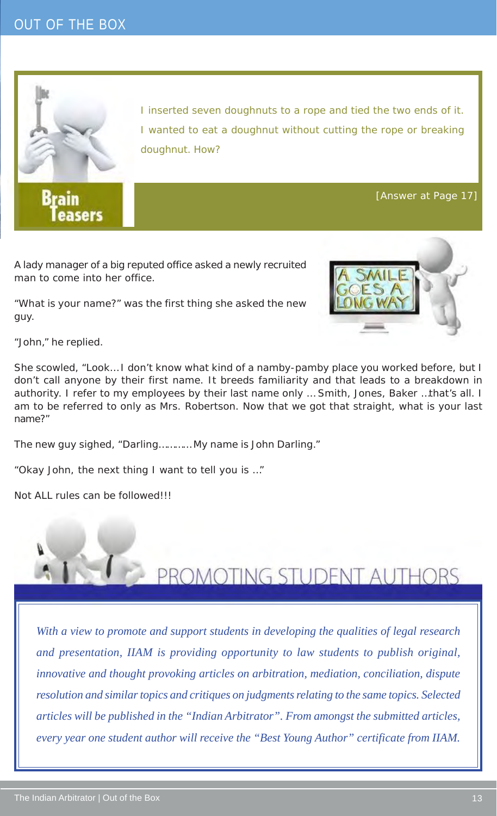

**Brain** easers I inserted seven doughnuts to a rope and tied the two ends of it. I wanted to eat a doughnut without cutting the rope or breaking doughnut. How?

[Answer at Page 17]

A lady manager of a big reputed office asked a newly recruited man to come into her office.

"What is your name?" was the first thing she asked the new guy.



"John," he replied.

She scowled, "Look… I don't know what kind of a namby-pamby place you worked before, but I don't call anyone by their first name. It breeds familiarity and that leads to a breakdown in authority. I refer to my employees by their last name only … Smith, Jones, Baker …that's all. I am to be referred to only as Mrs. Robertson. Now that we got that straight, what is your last name?"

The new guy sighed, "Darling………… My name is John Darling."

"Okay John, the next thing I want to tell you is …"

Not ALL rules can be followed!!!



*With a view to promote and support students in developing the qualities of legal research and presentation, IIAM is providing opportunity to law students to publish original, innovative and thought provoking articles on arbitration, mediation, conciliation, dispute resolution and similar topics and critiques on judgments relating to the same topics. Selected articles will be published in the "Indian Arbitrator". From amongst the submitted articles, every year one student author will receive the "Best Young Author" certificate from IIAM.*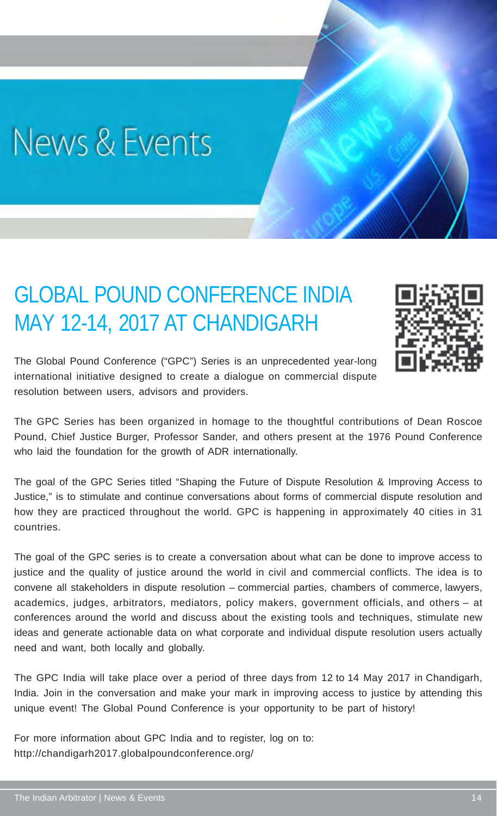## News & Events

### GLOBAL POUND CONFERENCE INDIA MAY 12-14, 2017 AT CHANDIGARH



The Global Pound Conference ("GPC") Series is an unprecedented year-long international initiative designed to create a dialogue on commercial dispute resolution between users, advisors and providers.

The GPC Series has been organized in homage to the thoughtful contributions of Dean Roscoe Pound, Chief Justice Burger, Professor Sander, and others present at the 1976 Pound Conference who laid the foundation for the growth of ADR internationally.

The goal of the GPC Series titled "Shaping the Future of Dispute Resolution & Improving Access to Justice," is to stimulate and continue conversations about forms of commercial dispute resolution and how they are practiced throughout the world. GPC is happening in approximately 40 cities in 31 countries.

The goal of the GPC series is to create a conversation about what can be done to improve access to justice and the quality of justice around the world in civil and commercial conflicts. The idea is to convene all stakeholders in dispute resolution – commercial parties, chambers of commerce, lawyers, academics, judges, arbitrators, mediators, policy makers, government officials, and others – at conferences around the world and discuss about the existing tools and techniques, stimulate new ideas and generate actionable data on what corporate and individual dispute resolution users actually need and want, both locally and globally.

The GPC India will take place over a period of three days from 12 to 14 May 2017 in Chandigarh, India. Join in the conversation and make your mark in improving access to justice by attending this unique event! The Global Pound Conference is your opportunity to be part of history!

For more information about GPC India and to register, log on to: http://chandigarh2017.globalpoundconference.org/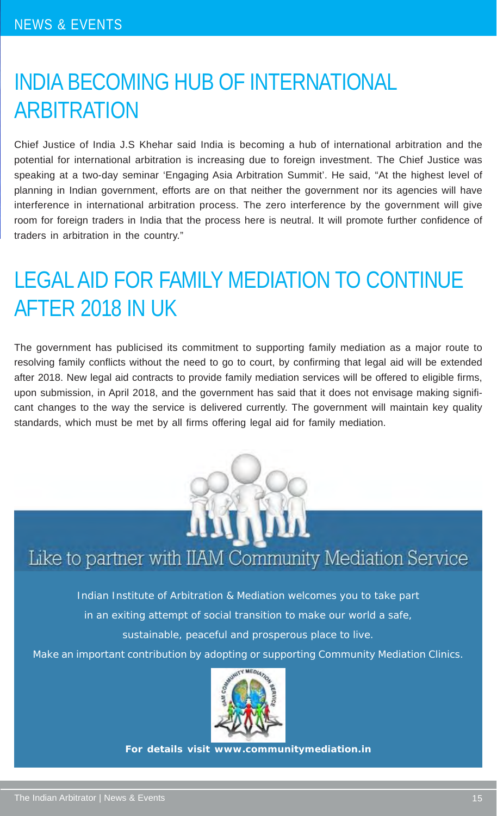### INDIA BECOMING HUB OF INTERNATIONAL ARBITRATION

Chief Justice of India J.S Khehar said India is becoming a hub of international arbitration and the potential for international arbitration is increasing due to foreign investment. The Chief Justice was speaking at a two-day seminar 'Engaging Asia Arbitration Summit'. He said, "At the highest level of planning in Indian government, efforts are on that neither the government nor its agencies will have interference in international arbitration process. The zero interference by the government will give room for foreign traders in India that the process here is neutral. It will promote further confidence of traders in arbitration in the country."

### LEGAL AID FOR FAMILY MEDIATION TO CONTINUE AFTER 2018 IN UK

The government has publicised its commitment to supporting family mediation as a major route to resolving family conflicts without the need to go to court, by confirming that legal aid will be extended after 2018. New legal aid contracts to provide family mediation services will be offered to eligible firms, upon submission, in April 2018, and the government has said that it does not envisage making significant changes to the way the service is delivered currently. The government will maintain key quality standards, which must be met by all firms offering legal aid for family mediation.



### Like to partner with IIAM Community Mediation Service

Indian Institute of Arbitration & Mediation welcomes you to take part in an exiting attempt of social transition to make our world a safe,

sustainable, peaceful and prosperous place to live.

Make an important contribution by adopting or supporting Community Mediation Clinics.



**For details visit www.communitymediation.in**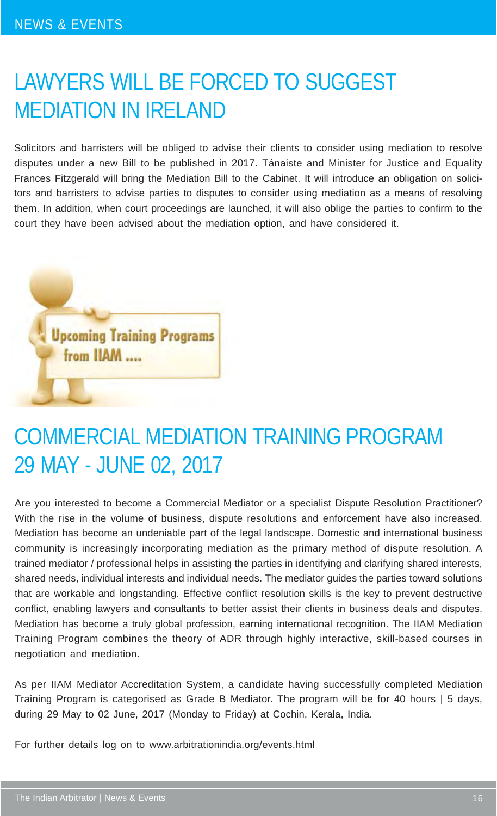### LAWYERS WILL BE FORCED TO SUGGEST MEDIATION IN IRELAND

Solicitors and barristers will be obliged to advise their clients to consider using mediation to resolve disputes under a new Bill to be published in 2017. Tánaiste and Minister for Justice and Equality Frances Fitzgerald will bring the Mediation Bill to the Cabinet. It will introduce an obligation on solicitors and barristers to advise parties to disputes to consider using mediation as a means of resolving them. In addition, when court proceedings are launched, it will also oblige the parties to confirm to the court they have been advised about the mediation option, and have considered it.



### COMMERCIAL MEDIATION TRAINING PROGRAM 29 MAY - JUNE 02, 2017

Are you interested to become a Commercial Mediator or a specialist Dispute Resolution Practitioner? With the rise in the volume of business, dispute resolutions and enforcement have also increased. Mediation has become an undeniable part of the legal landscape. Domestic and international business community is increasingly incorporating mediation as the primary method of dispute resolution. A trained mediator / professional helps in assisting the parties in identifying and clarifying shared interests, shared needs, individual interests and individual needs. The mediator guides the parties toward solutions that are workable and longstanding. Effective conflict resolution skills is the key to prevent destructive conflict, enabling lawyers and consultants to better assist their clients in business deals and disputes. Mediation has become a truly global profession, earning international recognition. The IIAM Mediation Training Program combines the theory of ADR through highly interactive, skill-based courses in negotiation and mediation.

As per IIAM Mediator Accreditation System, a candidate having successfully completed Mediation Training Program is categorised as Grade B Mediator. The program will be for 40 hours | 5 days, during 29 May to 02 June, 2017 (Monday to Friday) at Cochin, Kerala, India.

For further details log on to www.arbitrationindia.org/events.html